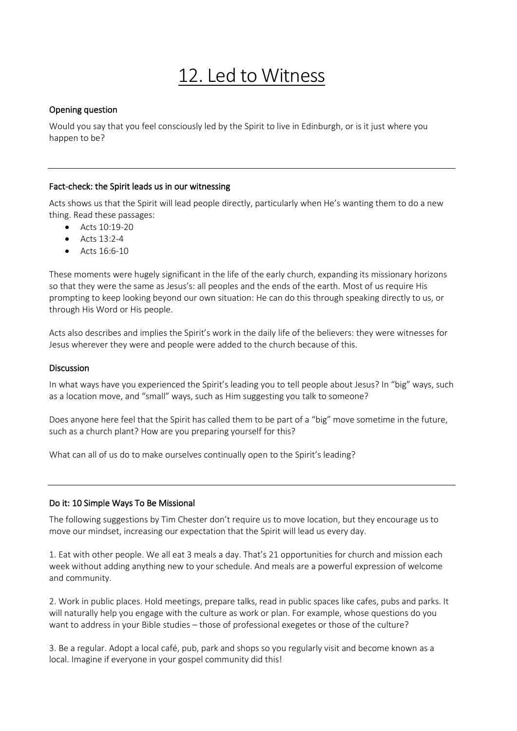# 12. Led to Witness

## Opening question

Would you say that you feel consciously led by the Spirit to live in Edinburgh, or is it just where you happen to be?

## Fact-check: the Spirit leads us in our witnessing

Acts shows us that the Spirit will lead people directly, particularly when He's wanting them to do a new thing. Read these passages:

- Acts  $10:19-20$
- Acts 13:2-4
- Acts 16:6-10

These moments were hugely significant in the life of the early church, expanding its missionary horizons so that they were the same as Jesus's: all peoples and the ends of the earth. Most of us require His prompting to keep looking beyond our own situation: He can do this through speaking directly to us, or through His Word or His people.

Acts also describes and implies the Spirit's work in the daily life of the believers: they were witnesses for Jesus wherever they were and people were added to the church because of this.

### **Discussion**

In what ways have you experienced the Spirit's leading you to tell people about Jesus? In "big" ways, such as a location move, and "small" ways, such as Him suggesting you talk to someone?

Does anyone here feel that the Spirit has called them to be part of a "big" move sometime in the future, such as a church plant? How are you preparing yourself for this?

What can all of us do to make ourselves continually open to the Spirit's leading?

### Do it: 10 Simple Ways To Be Missional

The following suggestions by Tim Chester don't require us to move location, but they encourage us to move our mindset, increasing our expectation that the Spirit will lead us every day.

1. Eat with other people. We all eat 3 meals a day. That's 21 opportunities for church and mission each week without adding anything new to your schedule. And meals are a powerful expression of welcome and community.

2. Work in public places. Hold meetings, prepare talks, read in public spaces like cafes, pubs and parks. It will naturally help you engage with the culture as work or plan. For example, whose questions do you want to address in your Bible studies – those of professional exegetes or those of the culture?

3. Be a regular. Adopt a local café, pub, park and shops so you regularly visit and become known as a local. Imagine if everyone in your gospel community did this!